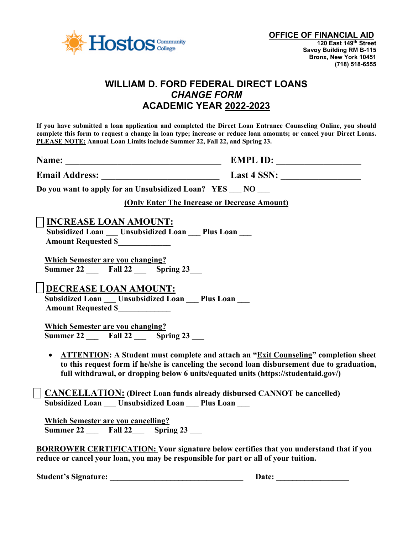

## **WILLIAM D. FORD FEDERAL DIRECT LOANS** *CHANGE FORM* **ACADEMIC YEAR 2022-2023**

**If you have submitted a loan application and completed the Direct Loan Entrance Counseling Online, you should complete this form to request a change in loan type; increase or reduce loan amounts; or cancel your Direct Loans. PLEASE NOTE: Annual Loan Limits include Summer 22, Fall 22, and Spring 23.** 

| Name: | <b>EMPL ID:</b> |  |
|-------|-----------------|--|
|       |                 |  |

**Email Address:** Last 4 SSN:

**Do you want to apply for an Unsubsidized Loan? YES \_\_\_ NO \_\_\_** 

**(Only Enter The Increase or Decrease Amount)**

### **INCREASE LOAN AMOUNT:**

**Subsidized Loan Unsubsidized Loan** Plus Loan  **Amount Requested \$\_\_\_\_\_\_\_\_\_\_\_\_\_**

 **Which Semester are you changing? Summer 22 Fall 22 Spring 23** 

**DECREASE LOAN AMOUNT:**

 **Subsidized Loan \_\_\_ Unsubsidized Loan \_\_\_ Plus Loan \_\_\_ Amount Requested \$\_\_\_\_\_\_\_\_\_\_\_\_\_**

 **Which Semester are you changing? Summer 22 Fall 22 Spring 23** 

• **ATTENTION: A Student must complete and attach an "Exit Counseling" completion sheet to this request form if he/she is canceling the second loan disbursement due to graduation, full withdrawal, or dropping below 6 units/equated units (https://studentaid.gov/)** 

 **CANCELLATION: (Direct Loan funds already disbursed CANNOT be cancelled) Subsidized Loan Unsubsidized Loan** Plus Loan

 **Which Semester are you cancelling? Summer 22 Fall 22** Spring 23

**BORROWER CERTIFICATION: Your signature below certifies that you understand that if you reduce or cancel your loan, you may be responsible for part or all of your tuition.** 

**Student's Signature: \_\_\_\_\_\_\_\_\_\_\_\_\_\_\_\_\_\_\_\_\_\_\_\_\_\_\_\_\_\_\_\_\_ Date: \_\_\_\_\_\_\_\_\_\_\_\_\_\_\_\_\_\_**